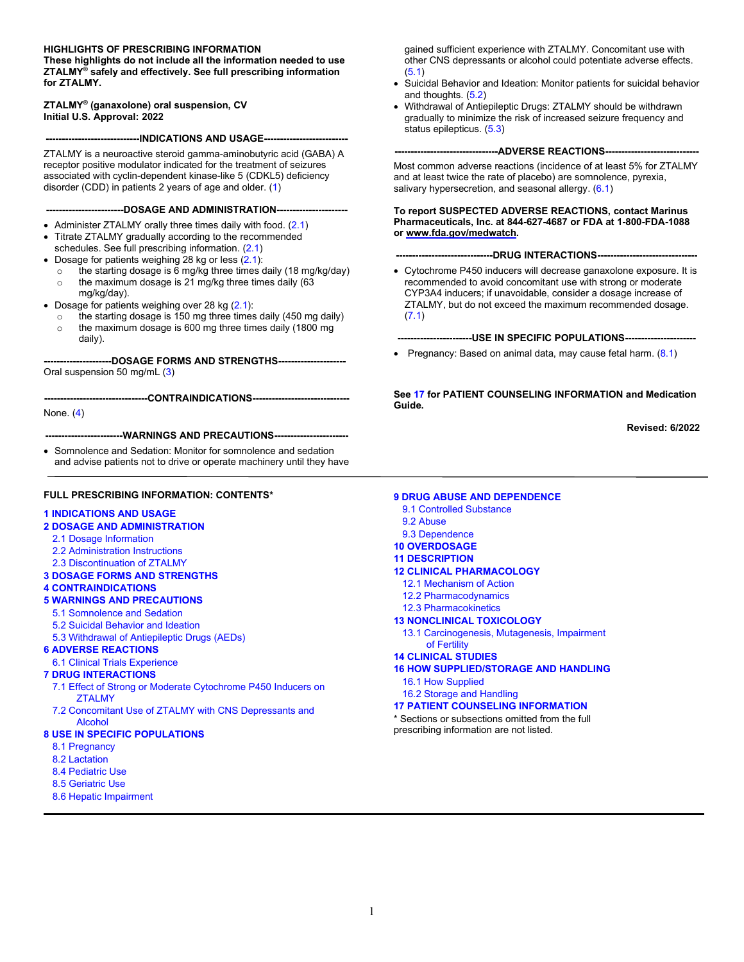#### **HIGHLIGHTS OF PRESCRIBING INFORMATION**

**These highlights do not include all the information needed to use ZTALMY® safely and effectively. See full prescribing information for ZTALMY.**

#### **ZTALMY® (ganaxolone) oral suspension, CV Initial U.S. Approval: 2022**

**-----------------------------INDICATIONS AND USAGE--------------------------**

ZTALMY is a neuroactive steroid gamma-aminobutyric acid (GABA) A receptor positive modulator indicated for the treatment of seizures associated with cyclin-dependent kinase-like 5 (CDKL5) deficiency disorder (CDD) in patients 2 years of age and older. [\(1\)](#page-1-0)

**------------------------DOSAGE AND ADMINISTRATION----------------------**

- Administer ZTALMY orally three times daily with food. ([2.1](#page-1-4))
- Titrate ZTALMY gradually according to the recommended schedules. See full prescribing information. [\(2.1](#page-1-4))
- Dosage for patients weighing 28 kg or less [\(2.1\)](#page-1-4):
	- $\circ$  the starting dosage is 6 mg/kg three times daily (18 mg/kg/day)  $\circ$  the maximum dosage is 21 mg/kg three times daily (63 mg/kg/day).
- Dosage for patients weighing over 28 kg [\(2.1\)](#page-1-4):
	- the starting dosage is  $150$  mg three times daily (450 mg daily)
	- $\circ$  the maximum dosage is 600 mg three times daily (1800 mg daily).

**---------------------DOSAGE FORMS AND STRENGTHS---------------------** Oral suspension 50 mg/mL [\(3](#page-2-0))

**--------------------------------CONTRAINDICATIONS------------------------------**

None. [\(4\)](#page-2-1)

**------------------------WARNINGS AND PRECAUTIONS-----------------------**

• Somnolence and Sedation: Monitor for somnolence and sedation and advise patients not to drive or operate machinery until they have

#### **FULL PRESCRIBING INFORMATION: CONTENTS\***

#### **[1 INDICATIONS AND USAGE](#page-1-0)**

#### **[2 DOSAGE AND ADMINISTRATION](#page-1-1)**

- 2.1 [Dosage Information](#page-1-2)
- 2.2 [Administration Instructions](#page-1-3)
- 2.3 [Discontinuation of ZTALMY](#page-2-2)
- **[3 DOSAGE FORMS AND STRENGTHS](#page-2-0)**

#### **[4 CONTRAINDICATIONS](#page-2-1)**

- **[5 WARNINGS AND PRECAUTIONS](#page-2-3)**
	- [5.1 Somnolence](#page-2-4) and Sedation
	- [5.2 Suicidal Behavior and Ideation](#page-2-5)
	- [5.3 Withdrawal of Antiepileptic Drugs \(AEDs\)](#page-3-0)

#### **[6 ADVERSE REACTIONS](#page-3-1)**

- [6.1 Clinical Trials Experience](#page-3-2)
- **[7 DRUG INTERACTIONS](#page-4-0)**
	- [7.1 Effect of Strong or Moderate](#page-4-1) Cytochrome P450 Inducers on **[ZTALMY](#page-4-1)**
	- [7.2 Concomitant Use of ZTALMY with CNS Depressants and](#page-5-0)  **[Alcohol](#page-5-0)**

#### **[8 USE IN SPECIFIC POPULATIONS](#page-5-1)**

- [8.1 Pregnancy](#page-5-2)
- [8.2 Lactation](#page-6-0)
- [8.4 Pediatric Use](#page-6-1)
- [8.5 Geriatric Use](#page-7-0)
- [8.6 Hepatic Impairment](#page-7-1)

gained sufficient experience with ZTALMY. Concomitant use with other CNS depressants or alcohol could potentiate adverse effects. ([5.1\)](#page-2-6)

- Suicidal Behavior and Ideation: Monitor patients for suicidal behavior and thoughts. [\(5.2\)](#page-2-6)
- Withdrawal of Antiepileptic Drugs: ZTALMY should be withdrawn gradually to minimize the risk of increased seizure frequency and status epilepticus. [\(5.3\)](#page-3-3)

**---ADVERSE REACTIONS--**

Most common adverse reactions (incidence of at least 5% for ZTALMY and at least twice the rate of placebo) are somnolence, pyrexia, salivary hypersecretion, and seasonal allergy. [\(6.1](#page-3-3))

#### **To report SUSPECTED ADVERSE REACTIONS, contact Marinus Pharmaceuticals, Inc. at 844-627-4687 or FDA at 1-800-FDA-1088 or www.fda.gov/medwatch.**

#### **---DRUG INTERACTIONS----**

• Cytochrome P450 inducers will decrease ganaxolone exposure. It is recommended to avoid concomitant use with strong or moderate CYP3A4 inducers; if unavoidable, consider a dosage increase of ZTALMY, but do not exceed the maximum recommended dosage. [\(7.1\)](#page-4-2)

**-----------------------USE IN SPECIFIC POPULATIONS----------------------**

• Pregnancy: Based on animal data, may cause fetal harm.  $(8.1)$  $(8.1)$ 

**See [17](#page-12-0) for PATIENT COUNSELING INFORMATION and Medication Guide.** 

**Revised: 6/2022**

#### **[9 DRUG ABUSE AND DEPENDENCE](#page-7-2)**

- [9.1 Controlled Substance](#page-7-3)
- [9.2 Abuse](#page-7-4)
- [9.3 Dependence](#page-7-5)
- **[10 OVERDOSAGE](#page-7-6)**
- **[11 DESCRIPTION](#page-8-0)**
- **[12 CLINICAL PHARMACOLOGY](#page-8-1)**
	- [12.1 Mechanism of Action](#page-8-2)
- [12.2 Pharmacodynamics](#page-8-4)
- [12.3 Pharmacokinetics](#page-8-3)
- **[13 NONCLINICAL TOXICOLOGY](#page-10-0)**
- 13.1 Carcinogenesis, [Mutagenesis, Impairment](#page-10-1)  [of Fertility](#page-10-1)

#### **[14 CLINICAL STUDIES](#page-10-2)**

**[16 HOW SUPPLIED/STORAGE AND HANDLING](#page-12-1)**

- [16.1 How Supplied](#page-12-2)
- [16.2 Storage and Handling](#page-12-3)

#### **[17 PATIENT COUNSELING INFORMATION](#page-12-0)**

\* Sections or subsections omitted from the full prescribing information are not listed.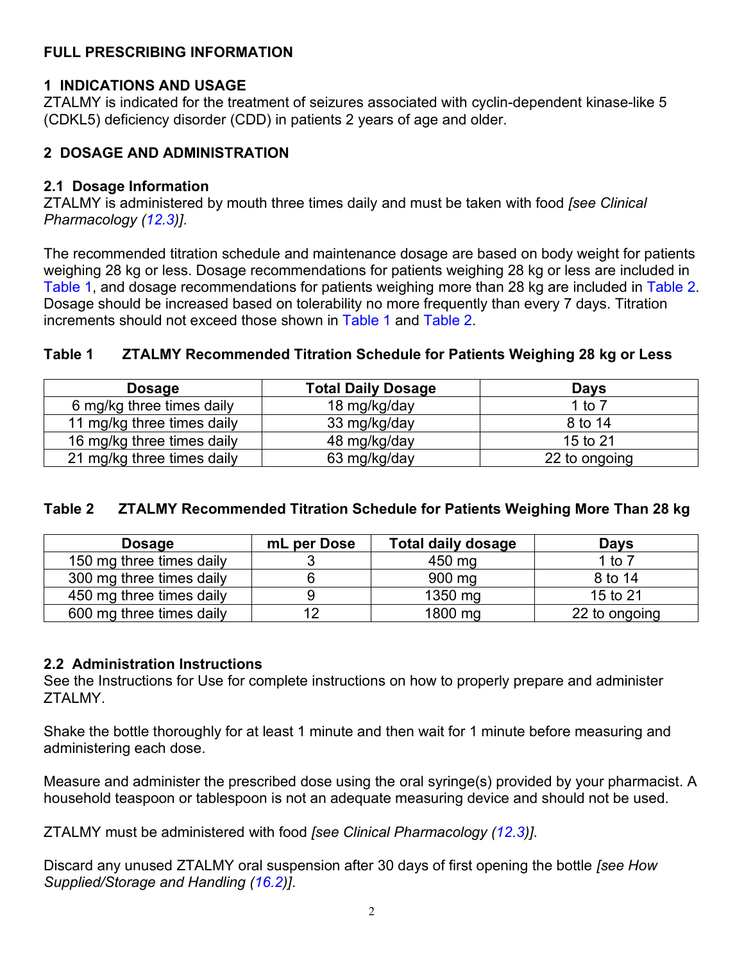# <span id="page-1-4"></span>**FULL PRESCRIBING INFORMATION**

# <span id="page-1-0"></span>**1 INDICATIONS AND USAGE**

ZTALMY is indicated for the treatment of seizures associated with cyclin-dependent kinase-like 5 (CDKL5) deficiency disorder (CDD) in patients 2 years of age and older.

# <span id="page-1-1"></span>**2 DOSAGE AND ADMINISTRATION**

#### <span id="page-1-2"></span>**2.1 Dosage Information**

ZTALMY is administered by mouth three times daily and must be taken with food *[see Clinical Pharmacology ([12.3\)](#page-8-4)]*.

The recommended titration schedule and maintenance dosage are based on body weight for patients weighing 28 kg or less. Dosage recommendations for patients weighing 28 kg or less are included in [Table 1](#page-1-4), and dosage recommendations for patients weighing more than 28 kg are included in [Table 2](#page-1-4). Dosage should be increased based on tolerability no more frequently than every 7 days. Titration increments should not exceed those shown in [Table 1](#page-1-4) and [Table 2](#page-1-4).

## **Table 1 ZTALMY Recommended Titration Schedule for Patients Weighing 28 kg or Less**

| <b>Dosage</b>              | <b>Total Daily Dosage</b> | Days          |
|----------------------------|---------------------------|---------------|
| 6 mg/kg three times daily  | 18 mg/kg/day              | 1 to 7        |
| 11 mg/kg three times daily | 33 mg/kg/day              | 8 to 14       |
| 16 mg/kg three times daily | 48 mg/kg/day              | 15 to 21      |
| 21 mg/kg three times daily | 63 mg/kg/day              | 22 to ongoing |

### **Table 2 ZTALMY Recommended Titration Schedule for Patients Weighing More Than 28 kg**

| <b>Dosage</b>            | mL per Dose | <b>Total daily dosage</b> | <b>Days</b>   |
|--------------------------|-------------|---------------------------|---------------|
| 150 mg three times daily |             | 450 mg                    | 1 to $7$      |
| 300 mg three times daily |             | 900 mg                    | 8 to 14       |
| 450 mg three times daily |             | 1350 mg                   | 15 to 21      |
| 600 mg three times daily |             | 1800 mg                   | 22 to ongoing |

### <span id="page-1-3"></span>**2.2 Administration Instructions**

See the Instructions for Use for complete instructions on how to properly prepare and administer ZTALMY.

Shake the bottle thoroughly for at least 1 minute and then wait for 1 minute before measuring and administering each dose.

Measure and administer the prescribed dose using the oral syringe(s) provided by your pharmacist. A household teaspoon or tablespoon is not an adequate measuring device and should not be used.

ZTALMY must be administered with food *[see Clinical Pharmacology ([12.3](#page-8-4))]*.

Discard any unused ZTALMY oral suspension after 30 days of first opening the bottle *[see How Supplied/Storage and Handling ([16.2\)](#page-12-4)]*.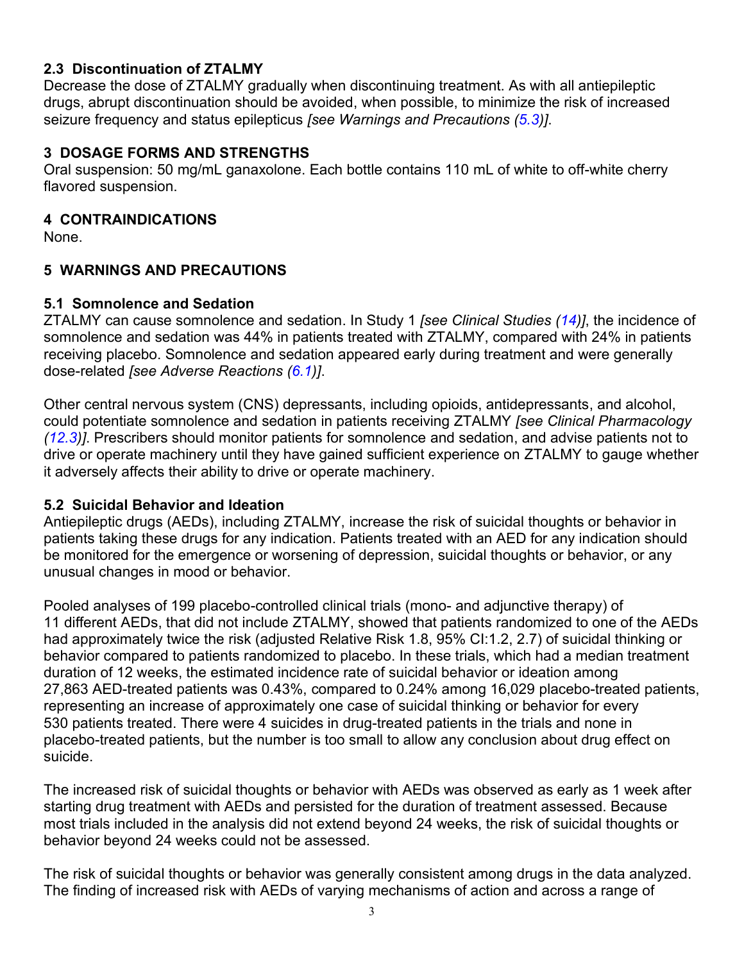# <span id="page-2-6"></span><span id="page-2-2"></span>**2.3 Discontinuation of ZTALMY**

Decrease the dose of ZTALMY gradually when discontinuing treatment. As with all antiepileptic drugs, abrupt discontinuation should be avoided, when possible, to minimize the risk of increased seizure frequency and status epilepticus *[see Warnings and Precautions ([5.3\)](#page-3-3)]*.

## <span id="page-2-0"></span>**3 DOSAGE FORMS AND STRENGTHS**

Oral suspension: 50 mg/mL ganaxolone. Each bottle contains 110 mL of white to off-white cherry flavored suspension.

### <span id="page-2-1"></span>**4 CONTRAINDICATIONS**

None.

## <span id="page-2-3"></span>**5 WARNINGS AND PRECAUTIONS**

### <span id="page-2-4"></span>**5.1 Somnolence and Sedation**

ZTALMY can cause somnolence and sedation. In Study 1 *[see Clinical Studies ([14\)](#page-10-3)]*, the incidence of somnolence and sedation was 44% in patients treated with ZTALMY, compared with 24% in patients receiving placebo. Somnolence and sedation appeared early during treatment and were generally dose-related *[see Adverse Reactions ([6.1](#page-3-3))]*.

Other central nervous system (CNS) depressants, including opioids, antidepressants, and alcohol, could potentiate somnolence and sedation in patients receiving ZTALMY *[see Clinical Pharmacology ([12.3\)](#page-8-4)]*. Prescribers should monitor patients for somnolence and sedation, and advise patients not to drive or operate machinery until they have gained sufficient experience on ZTALMY to gauge whether it adversely affects their ability to drive or operate machinery.

### <span id="page-2-5"></span>**5.2 Suicidal Behavior and Ideation**

Antiepileptic drugs (AEDs), including ZTALMY, increase the risk of suicidal thoughts or behavior in patients taking these drugs for any indication. Patients treated with an AED for any indication should be monitored for the emergence or worsening of depression, suicidal thoughts or behavior, or any unusual changes in mood or behavior.

Pooled analyses of 199 placebo-controlled clinical trials (mono- and adjunctive therapy) of 11 different AEDs, that did not include ZTALMY, showed that patients randomized to one of the AEDs had approximately twice the risk (adjusted Relative Risk 1.8, 95% CI:1.2, 2.7) of suicidal thinking or behavior compared to patients randomized to placebo. In these trials, which had a median treatment duration of 12 weeks, the estimated incidence rate of suicidal behavior or ideation among 27,863 AED-treated patients was 0.43%, compared to 0.24% among 16,029 placebo-treated patients, representing an increase of approximately one case of suicidal thinking or behavior for every 530 patients treated. There were 4 suicides in drug-treated patients in the trials and none in placebo-treated patients, but the number is too small to allow any conclusion about drug effect on suicide.

The increased risk of suicidal thoughts or behavior with AEDs was observed as early as 1 week after starting drug treatment with AEDs and persisted for the duration of treatment assessed. Because most trials included in the analysis did not extend beyond 24 weeks, the risk of suicidal thoughts or behavior beyond 24 weeks could not be assessed.

The risk of suicidal thoughts or behavior was generally consistent among drugs in the data analyzed. The finding of increased risk with AEDs of varying mechanisms of action and across a range of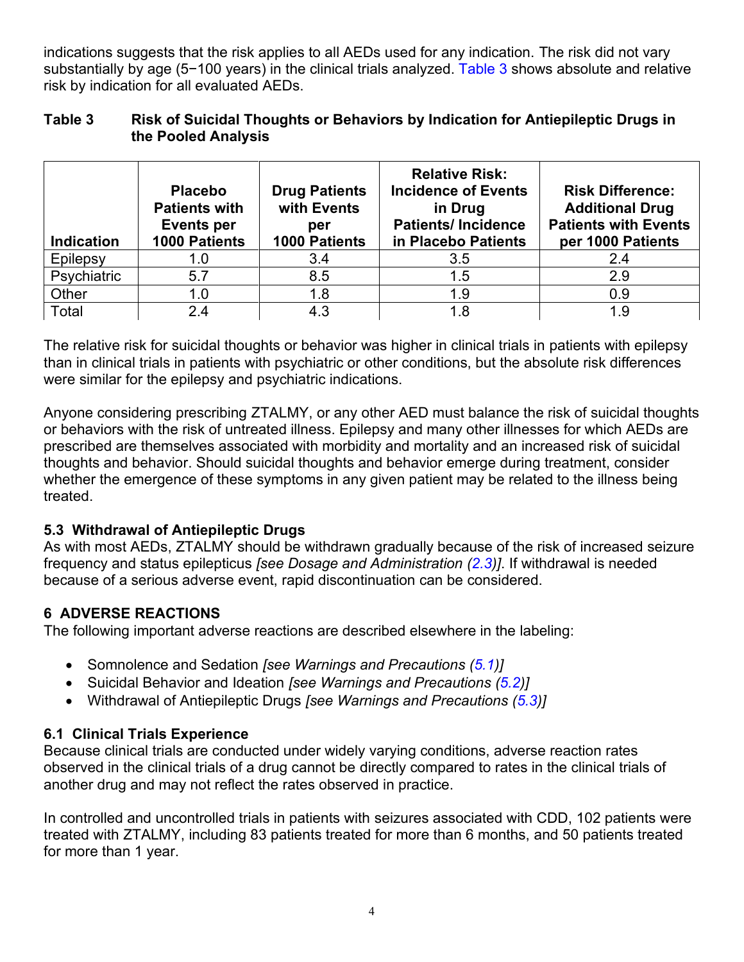<span id="page-3-3"></span>indications suggests that the risk applies to all AEDs used for any indication. The risk did not vary substantially by age (5-100 years) in the clinical trials analyzed. [Table 3](#page-3-3) shows absolute and relative risk by indication for all evaluated AEDs.

# **Table 3 Risk of Suicidal Thoughts or Behaviors by Indication for Antiepileptic Drugs in the Pooled Analysis**

| <b>Indication</b> | <b>Placebo</b><br><b>Patients with</b><br><b>Events per</b><br>1000 Patients | <b>Drug Patients</b><br>with Events<br>per<br>1000 Patients | <b>Relative Risk:</b><br><b>Incidence of Events</b><br>in Drug<br><b>Patients/Incidence</b><br>in Placebo Patients | <b>Risk Difference:</b><br><b>Additional Drug</b><br><b>Patients with Events</b><br>per 1000 Patients |
|-------------------|------------------------------------------------------------------------------|-------------------------------------------------------------|--------------------------------------------------------------------------------------------------------------------|-------------------------------------------------------------------------------------------------------|
| Epilepsy          | 1.0                                                                          | 3.4                                                         | 3.5                                                                                                                | 2.4                                                                                                   |
| Psychiatric       | 5.7                                                                          | 8.5                                                         | 1.5                                                                                                                | 2.9                                                                                                   |
| Other             | 1.0                                                                          | 1.8                                                         | 1.9                                                                                                                | 0.9                                                                                                   |
| Total             | 2.4                                                                          | 4.3                                                         | 1.8                                                                                                                | 1.9                                                                                                   |

The relative risk for suicidal thoughts or behavior was higher in clinical trials in patients with epilepsy than in clinical trials in patients with psychiatric or other conditions, but the absolute risk differences were similar for the epilepsy and psychiatric indications.

Anyone considering prescribing ZTALMY, or any other AED must balance the risk of suicidal thoughts or behaviors with the risk of untreated illness. Epilepsy and many other illnesses for which AEDs are prescribed are themselves associated with morbidity and mortality and an increased risk of suicidal thoughts and behavior. Should suicidal thoughts and behavior emerge during treatment, consider whether the emergence of these symptoms in any given patient may be related to the illness being treated.

# <span id="page-3-0"></span>**5.3 Withdrawal of Antiepileptic Drugs**

As with most AEDs, ZTALMY should be withdrawn gradually because of the risk of increased seizure frequency and status epilepticus *[see Dosage and Administration [\(2.3](#page-2-6))]*. If withdrawal is needed because of a serious adverse event, rapid discontinuation can be considered.

# <span id="page-3-1"></span>**6 ADVERSE REACTIONS**

The following important adverse reactions are described elsewhere in the labeling:

- Somnolence and Sedation *[see Warnings and Precautions ([5.1](#page-2-6))]*
- Suicidal Behavior and Ideation *[see Warnings and Precautions ([5.2](#page-2-6))]*
- Withdrawal of Antiepileptic Drugs *[see Warnings and Precautions ([5.3\)](#page-3-3)]*

# <span id="page-3-2"></span>**6.1 Clinical Trials Experience**

Because clinical trials are conducted under widely varying conditions, adverse reaction rates observed in the clinical trials of a drug cannot be directly compared to rates in the clinical trials of another drug and may not reflect the rates observed in practice.

In controlled and uncontrolled trials in patients with seizures associated with CDD, 102 patients were treated with ZTALMY, including 83 patients treated for more than 6 months, and 50 patients treated for more than 1 year.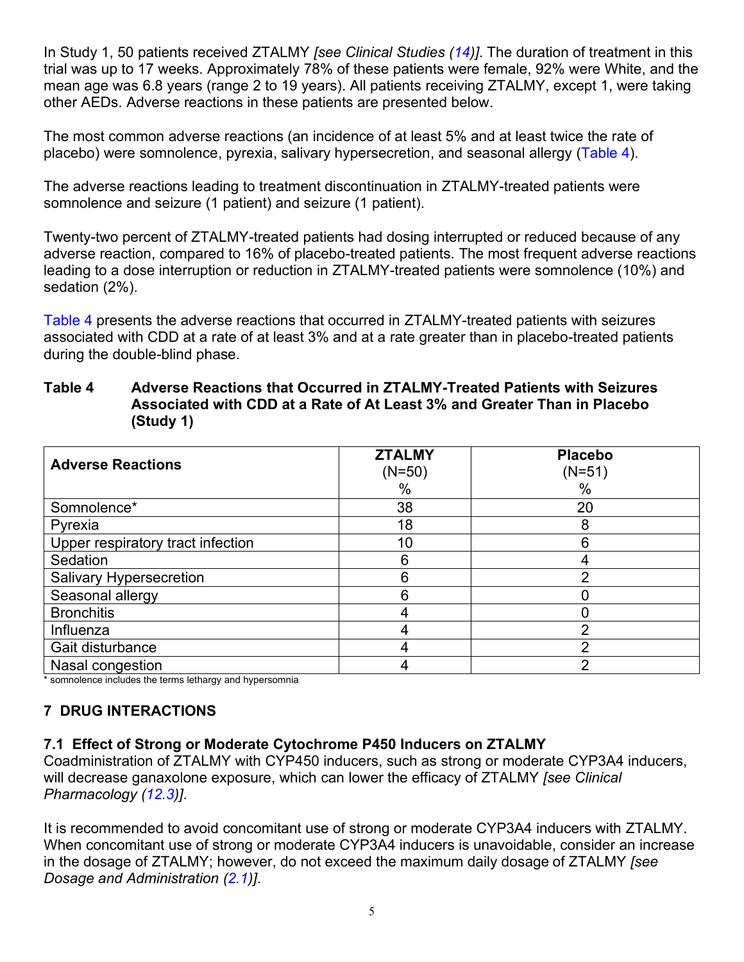<span id="page-4-2"></span>In Study 1, 50 patients received ZTALMY *[see Clinical Studies ([14\)](#page-10-3)]*. The duration of treatment in this trial was up to 17 weeks. Approximately 78% of these patients were female, 92% were White, and the mean age was 6.8 years (range 2 to 19 years). All patients receiving ZTALMY, except 1, were taking other AEDs. Adverse reactions in these patients are presented below.

The most common adverse reactions (an incidence of at least 5% and at least twice the rate of placebo) were somnolence, pyrexia, salivary hypersecretion, and seasonal allergy ([Table 4\)](#page-4-2).

The adverse reactions leading to treatment discontinuation in ZTALMY-treated patients were somnolence and seizure (1 patient) and seizure (1 patient).

Twenty-two percent of ZTALMY-treated patients had dosing interrupted or reduced because of any adverse reaction, compared to 16% of placebo-treated patients. The most frequent adverse reactions leading to a dose interruption or reduction in ZTALMY-treated patients were somnolence (10%) and sedation (2%).

[Table 4](#page-4-2) presents the adverse reactions that occurred in ZTALMY-treated patients with seizures associated with CDD at a rate of at least 3% and at a rate greater than in placebo-treated patients during the double-blind phase.

## **Table 4 Adverse Reactions that Occurred in ZTALMY-Treated Patients with Seizures Associated with CDD at a Rate of At Least 3% and Greater Than in Placebo (Study 1)**

| <b>Adverse Reactions</b>          | <b>ZTALMY</b><br>$(N=50)$<br>$\%$ | <b>Placebo</b><br>$(N=51)$<br>$\%$ |
|-----------------------------------|-----------------------------------|------------------------------------|
| Somnolence*                       | 38                                | 20                                 |
| Pyrexia                           | 18                                | 8                                  |
| Upper respiratory tract infection | 10                                | 6                                  |
| Sedation                          | 6                                 |                                    |
| <b>Salivary Hypersecretion</b>    | 6                                 | っ                                  |
| Seasonal allergy                  | 6                                 |                                    |
| <b>Bronchitis</b>                 |                                   |                                    |
| Influenza                         |                                   | っ                                  |
| Gait disturbance                  |                                   | റ                                  |
| Nasal congestion                  |                                   | າ                                  |

\* somnolence includes the terms lethargy and hypersomnia

# <span id="page-4-0"></span>**7 DRUG INTERACTIONS**

# <span id="page-4-1"></span>**7.1 Effect of Strong or Moderate Cytochrome P450 Inducers on ZTALMY**

Coadministration of ZTALMY with CYP450 inducers, such as strong or moderate CYP3A4 inducers, will decrease ganaxolone exposure, which can lower the efficacy of ZTALMY *[see Clinical Pharmacology [\(12.3\)](#page-8-4)]*.

It is recommended to avoid concomitant use of strong or moderate CYP3A4 inducers with ZTALMY. When concomitant use of strong or moderate CYP3A4 inducers is unavoidable, consider an increase in the dosage of ZTALMY; however, do not exceed the maximum daily dosage of ZTALMY *[see Dosage and Administration [\(2.1\)](#page-1-4)]*.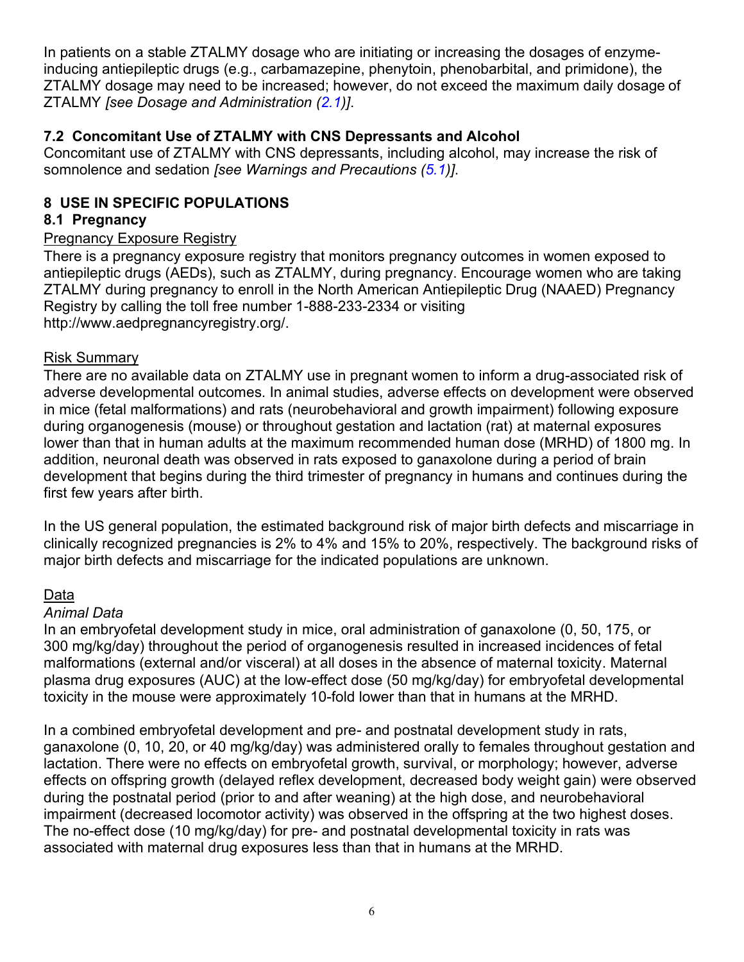<span id="page-5-3"></span>In patients on a stable ZTALMY dosage who are initiating or increasing the dosages of enzymeinducing antiepileptic drugs (e.g., carbamazepine, phenytoin, phenobarbital, and primidone), the ZTALMY dosage may need to be increased; however, do not exceed the maximum daily dosage of ZTALMY *[see Dosage and Administration [\(2.1\)](#page-1-4)]*.

# <span id="page-5-0"></span>**7.2 Concomitant Use of ZTALMY with CNS Depressants and Alcohol**

Concomitant use of ZTALMY with CNS depressants, including alcohol, may increase the risk of somnolence and sedation *[see Warnings and Precautions ([5.1\)](#page-2-6)]*.

# <span id="page-5-1"></span>**8 USE IN SPECIFIC POPULATIONS**

# <span id="page-5-2"></span>**8.1 Pregnancy**

## Pregnancy Exposure Registry

There is a pregnancy exposure registry that monitors pregnancy outcomes in women exposed to antiepileptic drugs (AEDs), such as ZTALMY, during pregnancy. Encourage women who are taking ZTALMY during pregnancy to enroll in the North American Antiepileptic Drug (NAAED) Pregnancy Registry by calling the toll free number 1-888-233-2334 or visiting http://www.aedpregnancyregistry.org/.

### Risk Summary

There are no available data on ZTALMY use in pregnant women to inform a drug-associated risk of adverse developmental outcomes. In animal studies, adverse effects on development were observed in mice (fetal malformations) and rats (neurobehavioral and growth impairment) following exposure during organogenesis (mouse) or throughout gestation and lactation (rat) at maternal exposures lower than that in human adults at the maximum recommended human dose (MRHD) of 1800 mg. In addition, neuronal death was observed in rats exposed to ganaxolone during a period of brain development that begins during the third trimester of pregnancy in humans and continues during the first few years after birth.

In the US general population, the estimated background risk of major birth defects and miscarriage in clinically recognized pregnancies is 2% to 4% and 15% to 20%, respectively. The background risks of major birth defects and miscarriage for the indicated populations are unknown.

# Data

### *Animal Data*

In an embryofetal development study in mice, oral administration of ganaxolone (0, 50, 175, or 300 mg/kg/day) throughout the period of organogenesis resulted in increased incidences of fetal malformations (external and/or visceral) at all doses in the absence of maternal toxicity. Maternal plasma drug exposures (AUC) at the low-effect dose (50 mg/kg/day) for embryofetal developmental toxicity in the mouse were approximately 10-fold lower than that in humans at the MRHD.

In a combined embryofetal development and pre- and postnatal development study in rats, ganaxolone (0, 10, 20, or 40 mg/kg/day) was administered orally to females throughout gestation and lactation. There were no effects on embryofetal growth, survival, or morphology; however, adverse effects on offspring growth (delayed reflex development, decreased body weight gain) were observed during the postnatal period (prior to and after weaning) at the high dose, and neurobehavioral impairment (decreased locomotor activity) was observed in the offspring at the two highest doses. The no-effect dose (10 mg/kg/day) for pre- and postnatal developmental toxicity in rats was associated with maternal drug exposures less than that in humans at the MRHD.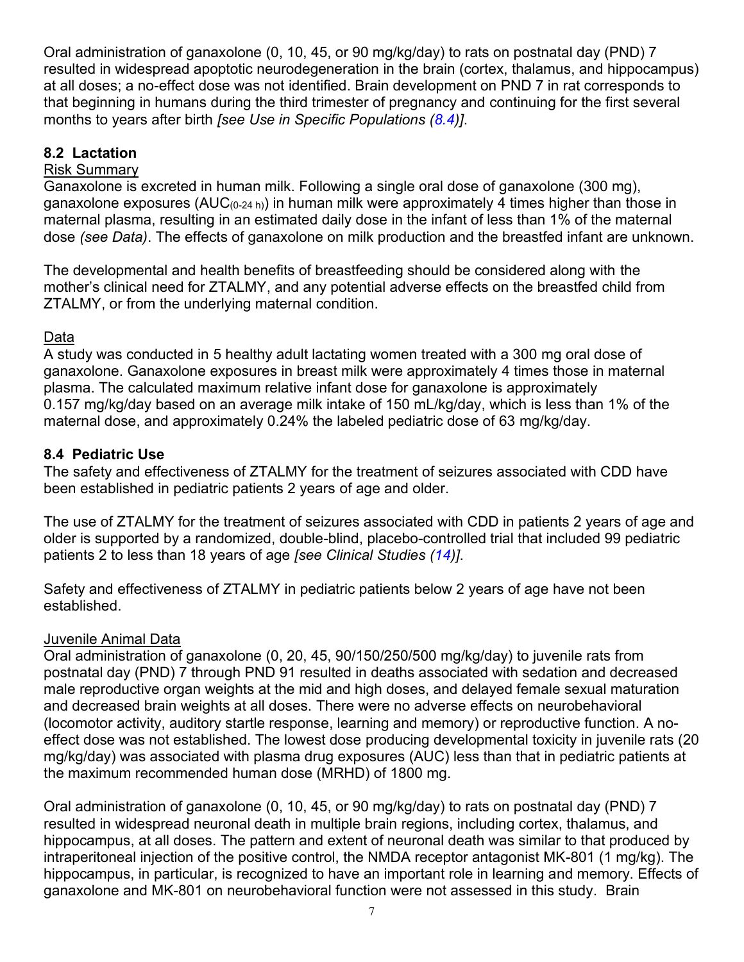<span id="page-6-2"></span>Oral administration of ganaxolone (0, 10, 45, or 90 mg/kg/day) to rats on postnatal day (PND) 7 resulted in widespread apoptotic neurodegeneration in the brain (cortex, thalamus, and hippocampus) at all doses; a no-effect dose was not identified. Brain development on PND 7 in rat corresponds to that beginning in humans during the third trimester of pregnancy and continuing for the first several months to years after birth *[see Use in Specific Populations ([8.4\)](#page-6-2)]*.

# <span id="page-6-0"></span>**8.2 Lactation**

# Risk Summary

Ganaxolone is excreted in human milk. Following a single oral dose of ganaxolone (300 mg), ganaxolone exposures (AUC<sub>(0-24 h)</sub>) in human milk were approximately 4 times higher than those in maternal plasma, resulting in an estimated daily dose in the infant of less than 1% of the maternal dose *(see Data)*. The effects of ganaxolone on milk production and the breastfed infant are unknown.

The developmental and health benefits of breastfeeding should be considered along with the mother's clinical need for ZTALMY, and any potential adverse effects on the breastfed child from ZTALMY, or from the underlying maternal condition.

# Data

A study was conducted in 5 healthy adult lactating women treated with a 300 mg oral dose of ganaxolone. Ganaxolone exposures in breast milk were approximately 4 times those in maternal plasma. The calculated maximum relative infant dose for ganaxolone is approximately 0.157 mg/kg/day based on an average milk intake of 150 mL/kg/day, which is less than 1% of the maternal dose, and approximately 0.24% the labeled pediatric dose of 63 mg/kg/day.

# <span id="page-6-1"></span>**8.4 Pediatric Use**

The safety and effectiveness of ZTALMY for the treatment of seizures associated with CDD have been established in pediatric patients 2 years of age and older.

The use of ZTALMY for the treatment of seizures associated with CDD in patients 2 years of age and older is supported by a randomized, double-blind, placebo-controlled trial that included 99 pediatric patients 2 to less than 18 years of age *[see Clinical Studies ([14\)](#page-10-3)]*.

Safety and effectiveness of ZTALMY in pediatric patients below 2 years of age have not been established.

# Juvenile Animal Data

Oral administration of ganaxolone (0, 20, 45, 90/150/250/500 mg/kg/day) to juvenile rats from postnatal day (PND) 7 through PND 91 resulted in deaths associated with sedation and decreased male reproductive organ weights at the mid and high doses, and delayed female sexual maturation and decreased brain weights at all doses. There were no adverse effects on neurobehavioral (locomotor activity, auditory startle response, learning and memory) or reproductive function. A noeffect dose was not established. The lowest dose producing developmental toxicity in juvenile rats (20 mg/kg/day) was associated with plasma drug exposures (AUC) less than that in pediatric patients at the maximum recommended human dose (MRHD) of 1800 mg.

Oral administration of ganaxolone (0, 10, 45, or 90 mg/kg/day) to rats on postnatal day (PND) 7 resulted in widespread neuronal death in multiple brain regions, including cortex, thalamus, and hippocampus, at all doses. The pattern and extent of neuronal death was similar to that produced by intraperitoneal injection of the positive control, the NMDA receptor antagonist MK-801 (1 mg/kg). The hippocampus, in particular, is recognized to have an important role in learning and memory. Effects of ganaxolone and MK-801 on neurobehavioral function were not assessed in this study. Brain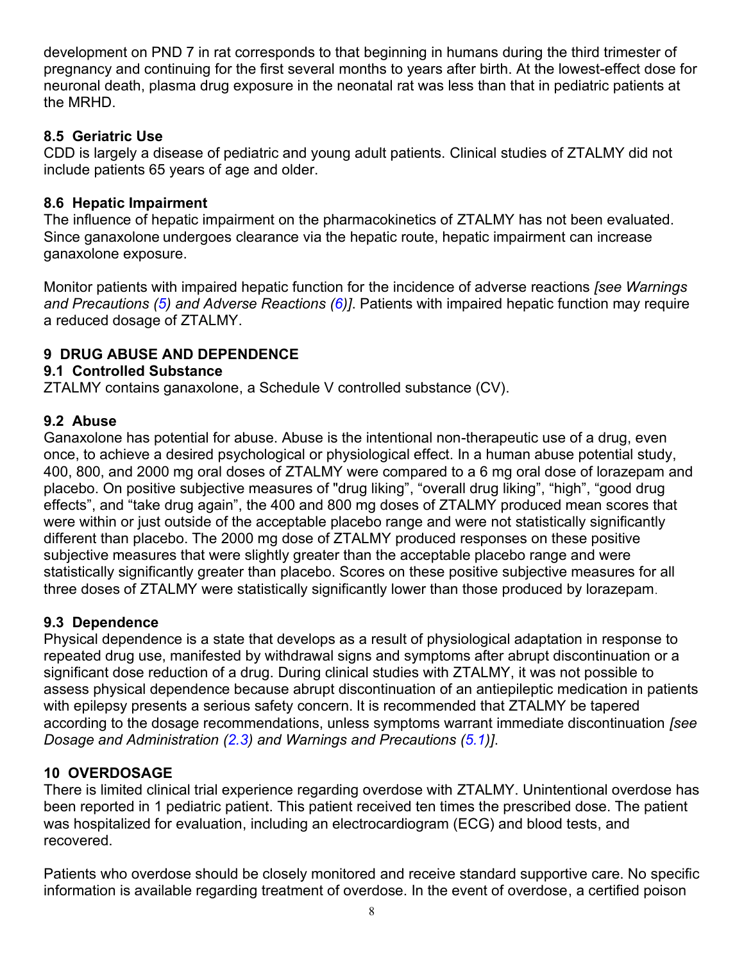<span id="page-7-7"></span>development on PND 7 in rat corresponds to that beginning in humans during the third trimester of pregnancy and continuing for the first several months to years after birth. At the lowest-effect dose for neuronal death, plasma drug exposure in the neonatal rat was less than that in pediatric patients at the MRHD.

# <span id="page-7-0"></span>**8.5 Geriatric Use**

CDD is largely a disease of pediatric and young adult patients. Clinical studies of ZTALMY did not include patients 65 years of age and older.

## <span id="page-7-1"></span>**8.6 Hepatic Impairment**

The influence of hepatic impairment on the pharmacokinetics of ZTALMY has not been evaluated. Since ganaxolone undergoes clearance via the hepatic route, hepatic impairment can increase ganaxolone exposure.

Monitor patients with impaired hepatic function for the incidence of adverse reactions *[see Warnings and Precautions ([5\)](#page-2-6) and Adverse Reactions ([6](#page-3-3))]*. Patients with impaired hepatic function may require a reduced dosage of ZTALMY.

# <span id="page-7-2"></span>**9 DRUG ABUSE AND DEPENDENCE**

## <span id="page-7-3"></span>**9.1 Controlled Substance**

ZTALMY contains ganaxolone, a Schedule V controlled substance (CV).

## <span id="page-7-4"></span>**9.2 Abuse**

Ganaxolone has potential for abuse. Abuse is the intentional non-therapeutic use of a drug, even once, to achieve a desired psychological or physiological effect. In a human abuse potential study, 400, 800, and 2000 mg oral doses of ZTALMY were compared to a 6 mg oral dose of lorazepam and placebo. On positive subjective measures of "drug liking", "overall drug liking", "high", "good drug effects", and "take drug again", the 400 and 800 mg doses of ZTALMY produced mean scores that were within or just outside of the acceptable placebo range and were not statistically significantly different than placebo. The 2000 mg dose of ZTALMY produced responses on these positive subjective measures that were slightly greater than the acceptable placebo range and were statistically significantly greater than placebo. Scores on these positive subjective measures for all three doses of ZTALMY were statistically significantly lower than those produced by lorazepam.

### <span id="page-7-5"></span>**9.3 Dependence**

Physical dependence is a state that develops as a result of physiological adaptation in response to repeated drug use, manifested by withdrawal signs and symptoms after abrupt discontinuation or a significant dose reduction of a drug. During clinical studies with ZTALMY, it was not possible to assess physical dependence because abrupt discontinuation of an antiepileptic medication in patients with epilepsy presents a serious safety concern. It is recommended that ZTALMY be tapered according to the dosage recommendations, unless symptoms warrant immediate discontinuation *[see Dosage and Administration ([2.3](#page-2-6)) and Warnings and Precautions ([5.1](#page-2-6))]*.

# <span id="page-7-6"></span>**10 OVERDOSAGE**

There is limited clinical trial experience regarding overdose with ZTALMY. Unintentional overdose has been reported in 1 pediatric patient. This patient received ten times the prescribed dose. The patient was hospitalized for evaluation, including an electrocardiogram (ECG) and blood tests, and recovered.

Patients who overdose should be closely monitored and receive standard supportive care. No specific information is available regarding treatment of overdose. In the event of overdose, a certified poison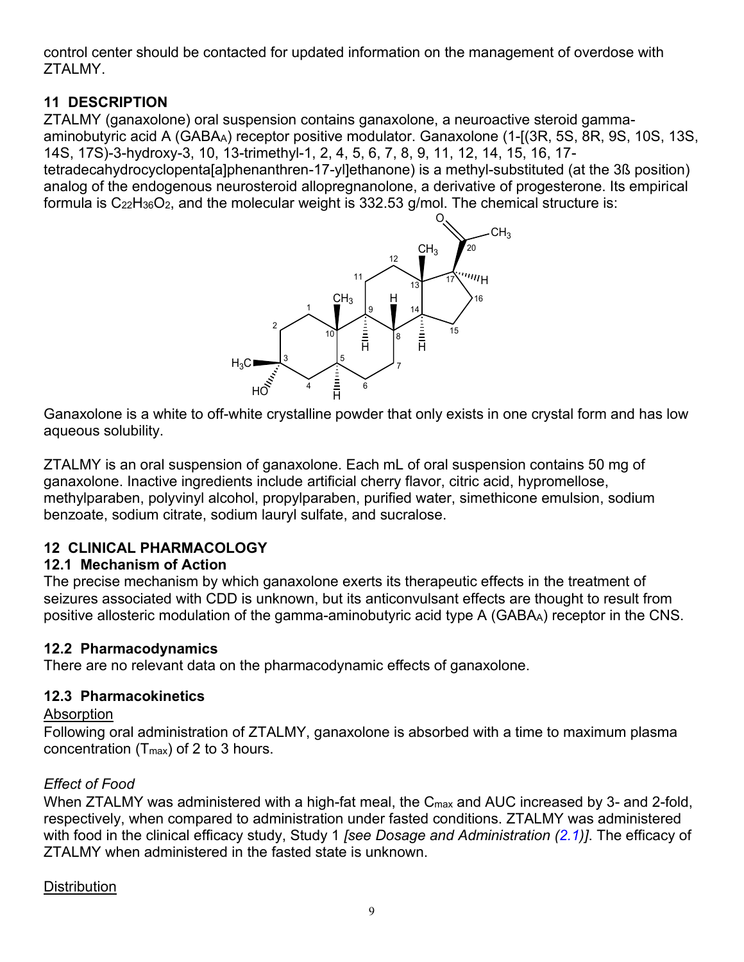<span id="page-8-4"></span>control center should be contacted for updated information on the management of overdose with ZTALMY.

# <span id="page-8-0"></span>**11 DESCRIPTION**

ZTALMY (ganaxolone) oral suspension contains ganaxolone, a neuroactive steroid gammaaminobutyric acid A (GABAA) receptor positive modulator. Ganaxolone (1-[(3R, 5S, 8R, 9S, 10S, 13S, 14S, 17S)-3-hydroxy-3, 10, 13-trimethyl-1, 2, 4, 5, 6, 7, 8, 9, 11, 12, 14, 15, 16, 17 tetradecahydrocyclopenta[a]phenanthren-17-yl]ethanone) is a methyl-substituted (at the 3ß position) analog of the endogenous neurosteroid allopregnanolone, a derivative of progesterone. Its empirical formula is  $C_{22}H_{36}O_2$ , and the molecular weight is 332.53 g/mol. The chemical structure is:



Ganaxolone is a white to off-white crystalline powder that only exists in one crystal form and has low Ganaxoloneaqueous solubility.

ZTALMY is an oral suspension of ganaxolone. Each mL of oral suspension contains 50 mg of ganaxolone. Inactive ingredients include artificial cherry flavor, citric acid, hypromellose, methylparaben, polyvinyl alcohol, propylparaben, purified water, simethicone emulsion, sodium benzoate, sodium citrate, sodium lauryl sulfate, and sucralose.

# <span id="page-8-1"></span>**12 CLINICAL PHARMACOLOGY**

# <span id="page-8-2"></span>**12.1 Mechanism of Action**

The precise mechanism by which ganaxolone exerts its therapeutic effects in the treatment of seizures associated with CDD is unknown, but its anticonvulsant effects are thought to result from positive allosteric modulation of the gamma-aminobutyric acid type A (GABAA) receptor in the CNS.

# **12.2 Pharmacodynamics**

There are no relevant data on the pharmacodynamic effects of ganaxolone.

# <span id="page-8-3"></span>**12.3 Pharmacokinetics**

# Absorption

Following oral administration of ZTALMY, ganaxolone is absorbed with a time to maximum plasma concentration (Tmax) of 2 to 3 hours.

# *Effect of Food*

When ZTALMY was administered with a high-fat meal, the C<sub>max</sub> and AUC increased by 3- and 2-fold, respectively, when compared to administration under fasted conditions. ZTALMY was administered with food in the clinical efficacy study, Study 1 *[see Dosage and Administration ([2.1](#page-1-4))]*. The efficacy of ZTALMY when administered in the fasted state is unknown.

# **Distribution**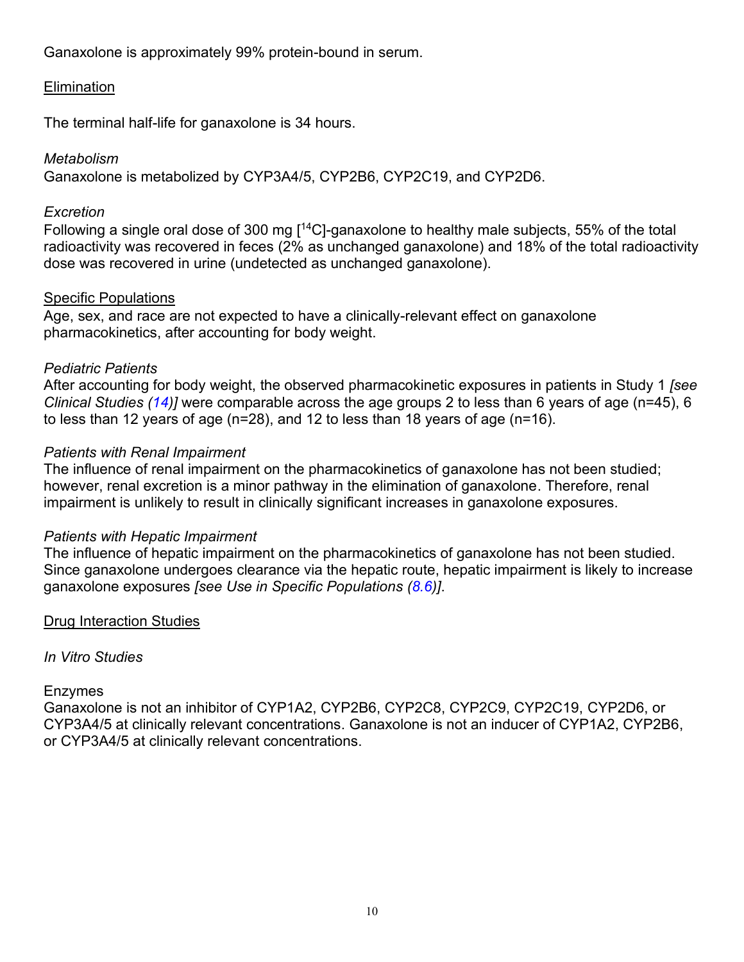Ganaxolone is approximately 99% protein-bound in serum.

## **Elimination**

The terminal half-life for ganaxolone is 34 hours.

### *Metabolism*

Ganaxolone is metabolized by CYP3A4/5, CYP2B6, CYP2C19, and CYP2D6.

### *Excretion*

Following a single oral dose of 300 mg [ $^{14}$ C]-ganaxolone to healthy male subjects, 55% of the total radioactivity was recovered in feces (2% as unchanged ganaxolone) and 18% of the total radioactivity dose was recovered in urine (undetected as unchanged ganaxolone).

## Specific Populations

Age, sex, and race are not expected to have a clinically-relevant effect on ganaxolone pharmacokinetics, after accounting for body weight.

## *Pediatric Patients*

After accounting for body weight, the observed pharmacokinetic exposures in patients in Study 1 *[see Clinical Studies ([14\)](#page-10-3)]* were comparable across the age groups 2 to less than 6 years of age (n=45), 6 to less than 12 years of age (n=28), and 12 to less than 18 years of age (n=16).

## *Patients with Renal Impairment*

The influence of renal impairment on the pharmacokinetics of ganaxolone has not been studied; however, renal excretion is a minor pathway in the elimination of ganaxolone. Therefore, renal impairment is unlikely to result in clinically significant increases in ganaxolone exposures.

### *Patients with Hepatic Impairment*

The influence of hepatic impairment on the pharmacokinetics of ganaxolone has not been studied. Since ganaxolone undergoes clearance via the hepatic route, hepatic impairment is likely to increase ganaxolone exposures *[see Use in Specific Populations [\(8.6\)](#page-7-7)]*.

### Drug Interaction Studies

### *In Vitro Studies*

### Enzymes

Ganaxolone is not an inhibitor of CYP1A2, CYP2B6, CYP2C8, CYP2C9, CYP2C19, CYP2D6, or CYP3A4/5 at clinically relevant concentrations. Ganaxolone is not an inducer of CYP1A2, CYP2B6, or CYP3A4/5 at clinically relevant concentrations.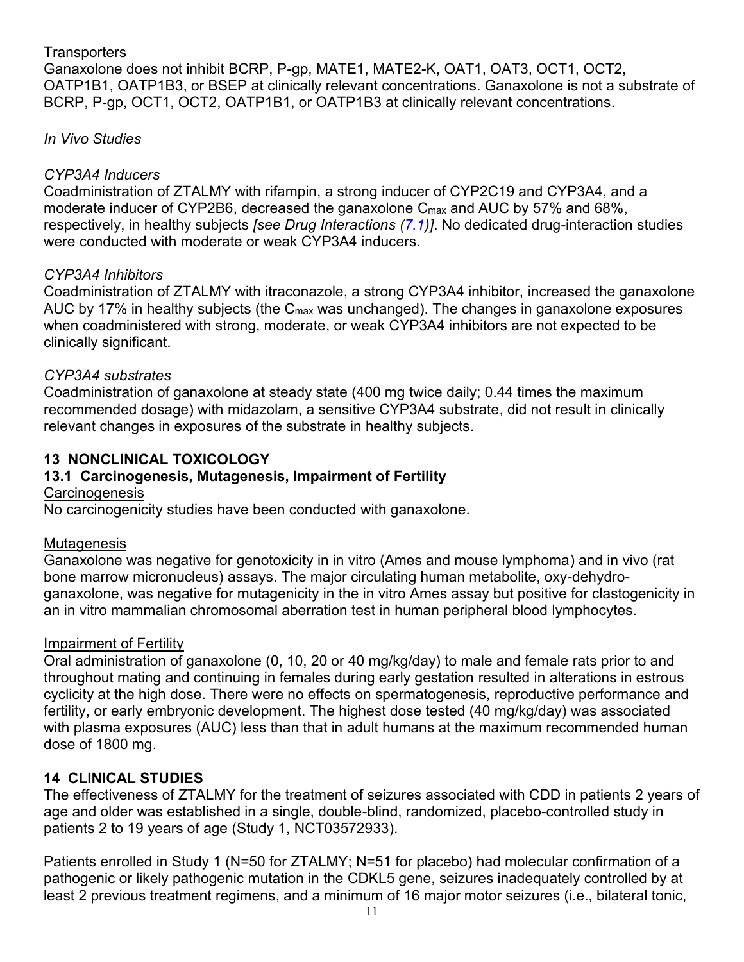# <span id="page-10-3"></span>**Transporters**

Ganaxolone does not inhibit BCRP, P-gp, MATE1, MATE2-K, OAT1, OAT3, OCT1, OCT2, OATP1B1, OATP1B3, or BSEP at clinically relevant concentrations. Ganaxolone is not a substrate of BCRP, P-gp, OCT1, OCT2, OATP1B1, or OATP1B3 at clinically relevant concentrations.

# *In Vivo Studies*

## *CYP3A4 Inducers*

Coadministration of ZTALMY with rifampin, a strong inducer of CYP2C19 and CYP3A4, and a moderate inducer of CYP2B6, decreased the ganaxolone C<sub>max</sub> and AUC by 57% and 68%, respectively, in healthy subjects *[see Drug Interactions ([7.1](#page-4-2))]*. No dedicated drug-interaction studies were conducted with moderate or weak CYP3A4 inducers.

### *CYP3A4 Inhibitors*

Coadministration of ZTALMY with itraconazole, a strong CYP3A4 inhibitor, increased the ganaxolone AUC by 17% in healthy subjects (the  $C_{\text{max}}$  was unchanged). The changes in ganaxolone exposures when coadministered with strong, moderate, or weak CYP3A4 inhibitors are not expected to be clinically significant.

### *CYP3A4 substrates*

Coadministration of ganaxolone at steady state (400 mg twice daily; 0.44 times the maximum recommended dosage) with midazolam, a sensitive CYP3A4 substrate, did not result in clinically relevant changes in exposures of the substrate in healthy subjects.

# <span id="page-10-0"></span>**13 NONCLINICAL TOXICOLOGY**

# <span id="page-10-1"></span>**13.1 Carcinogenesis, Mutagenesis, Impairment of Fertility**

### **Carcinogenesis**

No carcinogenicity studies have been conducted with ganaxolone.

### **Mutagenesis**

Ganaxolone was negative for genotoxicity in in vitro (Ames and mouse lymphoma) and in vivo (rat bone marrow micronucleus) assays. The major circulating human metabolite, oxy-dehydroganaxolone, was negative for mutagenicity in the in vitro Ames assay but positive for clastogenicity in an in vitro mammalian chromosomal aberration test in human peripheral blood lymphocytes.

### Impairment of Fertility

Oral administration of ganaxolone (0, 10, 20 or 40 mg/kg/day) to male and female rats prior to and throughout mating and continuing in females during early gestation resulted in alterations in estrous cyclicity at the high dose. There were no effects on spermatogenesis, reproductive performance and fertility, or early embryonic development. The highest dose tested (40 mg/kg/day) was associated with plasma exposures (AUC) less than that in adult humans at the maximum recommended human dose of 1800 mg.

### <span id="page-10-2"></span>**14 CLINICAL STUDIES**

The effectiveness of ZTALMY for the treatment of seizures associated with CDD in patients 2 years of age and older was established in a single, double-blind, randomized, placebo-controlled study in patients 2 to 19 years of age (Study 1, NCT03572933).

Patients enrolled in Study 1 (N=50 for ZTALMY; N=51 for placebo) had molecular confirmation of a pathogenic or likely pathogenic mutation in the CDKL5 gene, seizures inadequately controlled by at least 2 previous treatment regimens, and a minimum of 16 major motor seizures (i.e., bilateral tonic,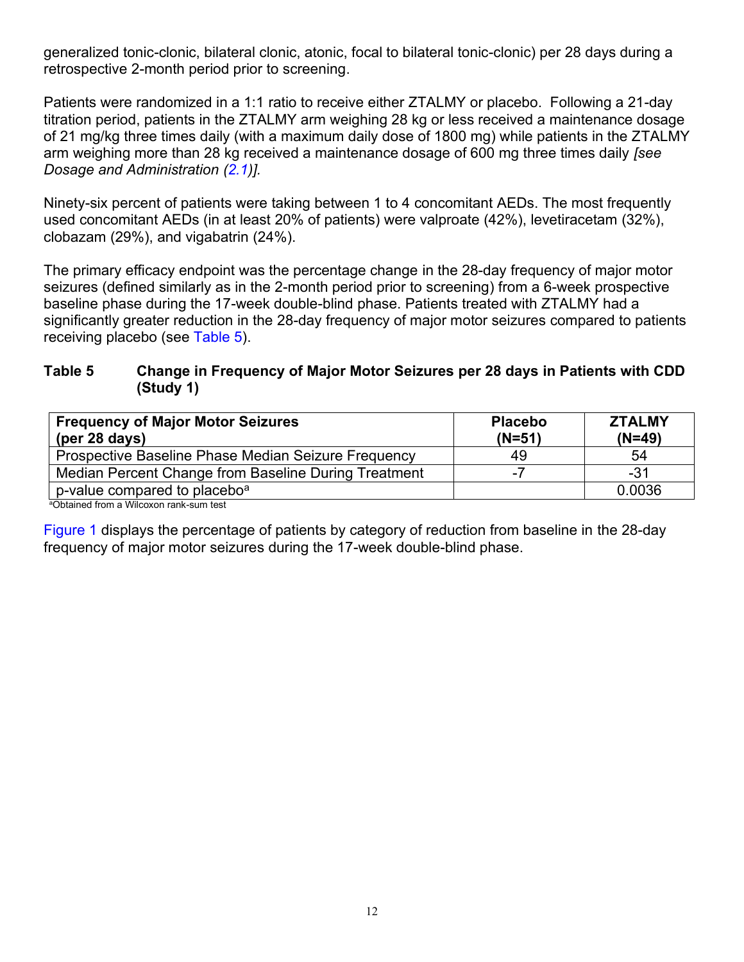<span id="page-11-0"></span>generalized tonic-clonic, bilateral clonic, atonic, focal to bilateral tonic-clonic) per 28 days during a retrospective 2-month period prior to screening.

Patients were randomized in a 1:1 ratio to receive either ZTALMY or placebo. Following a 21-day titration period, patients in the ZTALMY arm weighing 28 kg or less received a maintenance dosage of 21 mg/kg three times daily (with a maximum daily dose of 1800 mg) while patients in the ZTALMY arm weighing more than 28 kg received a maintenance dosage of 600 mg three times daily *[see Dosage and Administration ([2.1](#page-1-4))].*

Ninety-six percent of patients were taking between 1 to 4 concomitant AEDs. The most frequently used concomitant AEDs (in at least 20% of patients) were valproate (42%), levetiracetam (32%), clobazam (29%), and vigabatrin (24%).

The primary efficacy endpoint was the percentage change in the 28-day frequency of major motor seizures (defined similarly as in the 2-month period prior to screening) from a 6-week prospective baseline phase during the 17-week double-blind phase. Patients treated with ZTALMY had a significantly greater reduction in the 28-day frequency of major motor seizures compared to patients receiving placebo (see [Table 5](#page-11-0)).

### **Table 5 Change in Frequency of Major Motor Seizures per 28 days in Patients with CDD (Study 1)**

| <b>Frequency of Major Motor Seizures</b><br>(per 28 days) | <b>Placebo</b><br>$(N=51)$ | <b>ZTALMY</b><br>$(N=49)$ |
|-----------------------------------------------------------|----------------------------|---------------------------|
| Prospective Baseline Phase Median Seizure Frequency       | 49                         | 54                        |
| Median Percent Change from Baseline During Treatment      | -7                         | -31                       |
| p-value compared to placebo <sup>a</sup>                  |                            | 0.0036                    |

<sup>a</sup>Obtained from a Wilcoxon rank-sum test

[Figure 1](#page-12-4) displays the percentage of patients by category of reduction from baseline in the 28-day frequency of major motor seizures during the 17-week double-blind phase.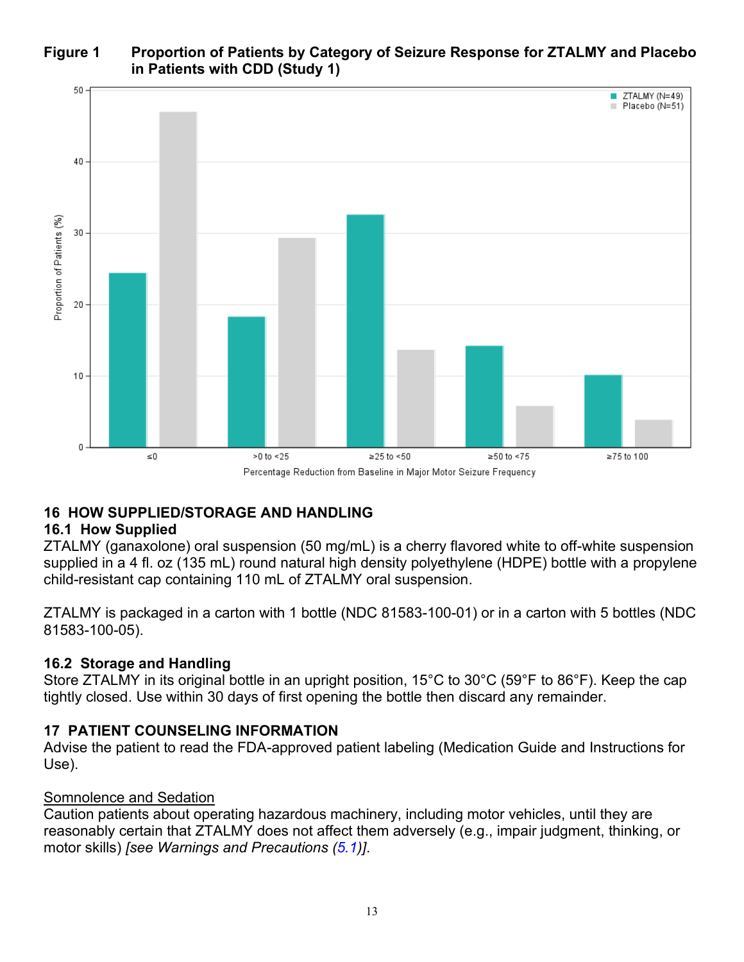<span id="page-12-4"></span>**Figure 1 Proportion of Patients by Category of Seizure Response for ZTALMY and Placebo in Patients with CDD (Study 1)**



### <span id="page-12-1"></span>**16 HOW SUPPLIED/STORAGE AND HANDLING**

### <span id="page-12-2"></span>**16.1 How Supplied**

ZTALMY (ganaxolone) oral suspension (50 mg/mL) is a cherry flavored white to off-white suspension supplied in a 4 fl. oz (135 mL) round natural high density polyethylene (HDPE) bottle with a propylene child-resistant cap containing 110 mL of ZTALMY oral suspension.

ZTALMY is packaged in a carton with 1 bottle (NDC 81583-100-01) or in a carton with 5 bottles (NDC 81583-100-05).

### <span id="page-12-3"></span>**16.2 Storage and Handling**

Store ZTALMY in its original bottle in an upright position, 15°C to 30°C (59°F to 86°F). Keep the cap tightly closed. Use within 30 days of first opening the bottle then discard any remainder.

# <span id="page-12-0"></span>**17 PATIENT COUNSELING INFORMATION**

Advise the patient to read the FDA-approved patient labeling (Medication Guide and Instructions for Use).

### Somnolence and Sedation

Caution patients about operating hazardous machinery, including motor vehicles, until they are reasonably certain that ZTALMY does not affect them adversely (e.g., impair judgment, thinking, or motor skills) *[see Warnings and Precautions [\(5.1\)](#page-2-6)]*.